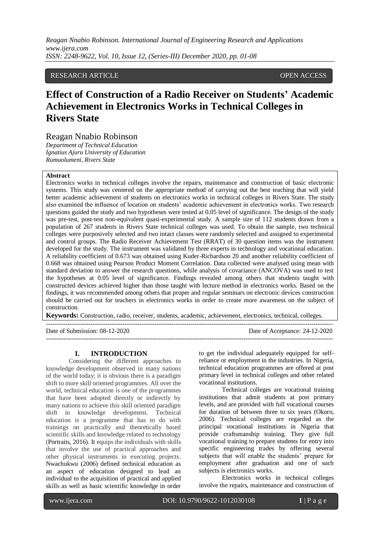*Reagan Nnabio Robinson. International Journal of Engineering Research and Applications www.ijera.com ISSN: 2248-9622, Vol. 10, Issue 12, (Series-III) December 2020, pp. 01-08*

# RESEARCH ARTICLE **CONSERVERS** OPEN ACCESS

# **Effect of Construction of a Radio Receiver on Students' Academic Achievement in Electronics Works in Technical Colleges in Rivers State**

# Reagan Nnabio Robinson

*Department of Technical Education Ignatius Ajuru University of Education Rumuolumeni, Rivers State*

### **Abstract**

Electronics works in technical colleges involve the repairs, maintenance and construction of basic electronic systems. This study was centered on the appropriate method of carrying out the best teaching that will yield better academic achievement of students on electronics works in technical colleges in Rivers State. The study also examined the influence of location on students' academic achievement in electronics works. Two research questions guided the study and two hypotheses were tested at 0.05 level of significance. The design of the study was pre-test, post-test non-equivalent quasi-experimental study. A sample size of 112 students drawn from a population of 267 students in Rivers State technical colleges was used. To obtain the sample, two technical colleges were purposively selected and two intact classes were randomly selected and assigned to experimental and control groups. The Radio Receiver Achievement Test (RRAT) of 30 question items was the instrument developed for the study. The instrument was validated by three experts in technology and vocational education. A reliability coefficient of 0.673 was obtained using Kuder-Richardson 20 and another reliability coefficient of 0.668 was obtained using Pearson Product Moment Correlation. Data collected were analysed using mean with standard deviation to answer the research questions, while analysis of covariance (ANCOVA) was used to test the hypotheses at 0.05 level of significance. Findings revealed among others that students taught with constructed devices achieved higher than those taught with lecture method in electronics works. Based on the findings, it was recommended among others that proper and regular seminars on electronic devices construction should be carried out for teachers in electronics works in order to create more awareness on the subject of construction.

**Keywords:** Construction, radio, receiver, students, academic, achievement, electronics, technical, colleges. ---------------------------------------------------------------------------------------------------------------------------------------

---------------------------------------------------------------------------------------------------------------------------------------

Date of Submission: 08-12-2020 Date of Acceptance: 24-12-2020

#### **I. INTRODUCTION**

Considering the different approaches to knowledge development observed in many nations of the world today; it is obvious there is a paradigm shift to more skill oriented programmes. All over the world, technical education is one of the programmes that have been adopted directly or indirectly by many nations to achieve this skill oriented paradigm shift in knowledge development. Technical education is a programme that has to do with trainings on practically and theoretically based scientific skills and knowledge related to technology (Portraits, 2016). It equips the individuals with skills that involve the use of practical approaches and other physical instruments in executing projects. Nwachukwu (2006) defined technical education as an aspect of education designed to lead an individual to the acquisition of practical and applied skills as well as basic scientific knowledge in order to get the individual adequately equipped for selfreliance or employment in the industries. In Nigeria, technical education programmes are offered at post primary level in technical colleges and other related vocational institutions.

Technical colleges are vocational training institutions that admit students at post primary levels, and are provided with full vocational courses for duration of between three to six years (Okoro, 2006). Technical colleges are regarded as the principal vocational institutions in Nigeria that provide craftsmanship training. They give full vocational training to prepare students for entry into specific engineering trades by offering several subjects that will enable the students' prepare for employment after graduation and one of such subjects is electronics works.

Electronics works in technical colleges involve the repairs, maintenance and construction of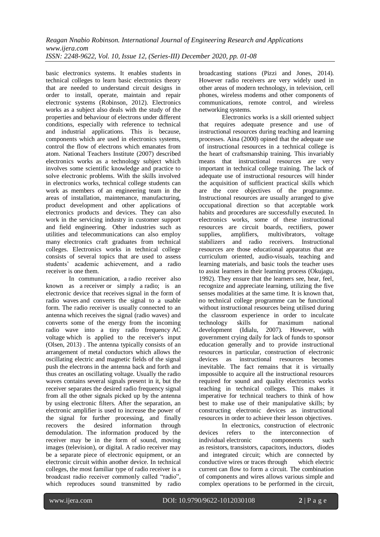basic electronics systems. It enables students in technical colleges to learn basic electronics theory that are needed to understand circuit designs in order to install, operate, maintain and repair electronic systems (Robinson, 2012). Electronics works as a subject also deals with the study of the properties and behaviour of electrons under different conditions, especially with reference to technical and industrial applications. This is because, components which are used in electronics systems, control the flow of electrons which emanates from atom. National Teachers Institute (2007) described electronics works as a technology subject which involves some scientific knowledge and practice to solve electronic problems. With the skills involved in electronics works, technical college students can work as members of an engineering team in the areas of installation, maintenance, manufacturing, product development and other applications of electronics products and devices. They can also work in the servicing industry in customer support and field engineering. Other industries such as utilities and telecommunications can also employ many electronics craft graduates from technical colleges. Electronics works in technical college consists of several topics that are used to assess students' academic achievement, and a radio receiver is one them.

In communication, a radio receiver also known as a receiver or simply a radio; is an electronic device that receives signal in the form of radio waves and converts the signal to a usable form. The radio receiver is usually connected to an antenna which receives the signal (radio waves) and converts some of the energy from the incoming radio wave into a tiny radio frequency AC voltage which is applied to the receiver's input (Olsen, 2013) . The antenna typically consists of an arrangement of metal conductors which allows the oscillating electric and magnetic fields of the signal push the electrons in the antenna back and forth and thus creates an oscillating voltage. Usually the radio waves contains several signals present in it, but the receiver separates the desired radio frequency signal from all the other signals picked up by the antenna by using electronic filters. After the separation, an electronic amplifier is used to increase the power of the signal for further processing, and finally recovers the desired information through demodulation. The information produced by the receiver may be in the form of sound, moving images (television), or digital. A radio receiver may be a separate piece of electronic equipment, or an electronic circuit within another device. In technical colleges, the most familiar type of radio receiver is a broadcast radio receiver commonly called "radio", which reproduces sound transmitted by radio broadcasting stations (Pizzi and Jones, 2014). However radio receivers are very widely used in other areas of modern technology, in television, cell phones, wireless modems and other components of communications, remote control, and wireless networking systems.

Electronics works is a skill oriented subject that requires adequate presence and use of instructional resources during teaching and learning processes. Aina (2000) opined that the adequate use of instructional resources in a technical college is the heart of craftsmanship training. This invariably means that instructional resources are very important in technical college training. The lack of adequate use of instructional resources will hinder the acquisition of sufficient practical skills which are the core objectives of the programme. Instructional resources are usually arranged to give occupational direction so that acceptable work habits and procedures are successfully executed. In electronics works, some of these instructional resources are circuit boards, rectifiers, power<br>sunnlies. amplifiers, multivibrators, voltage supplies, amplifiers, multivibrators, stabilizers and radio receivers. Instructional resources are those educational apparatus that are curriculum oriented, audio-visuals, teaching and learning materials, and basic tools the teacher uses to assist learners in their learning process (Okujagu, 1992). They ensure that the learners see, hear, feel, recognize and appreciate learning, utilizing the five senses modalities at the same time. It is known that, no technical college programme can be functional without instructional resources being utilised during the classroom experience in order to inculcate technology skills for maximum national development (Idialu, 2007). However, with government crying daily for lack of funds to sponsor education generally and to provide instructional resources in particular, construction of electronic devices as instructional resources becomes inevitable. The fact remains that it is virtually impossible to acquire all the instructional resources required for sound and quality electronics works teaching in technical colleges. This makes it imperative for technical teachers to think of how best to make use of their manipulative skills; by constructing electronic devices as instructional resources in order to achieve their lesson objectives.

In electronics, construction of electronic devices refers to the interconnection of individual [electronic components](https://en.wikipedia.org/wiki/Electronic_component) such as [resistors,](https://en.wikipedia.org/wiki/Resistor) [transistors,](https://en.wikipedia.org/wiki/Transistor) [capacitors,](https://en.wikipedia.org/wiki/Capacitor) [inductors,](https://en.wikipedia.org/wiki/Inductor) [diodes](https://en.wikipedia.org/wiki/Diode) and integrated circuit; which are connected by conductive [wires](https://en.wikipedia.org/wiki/Wire) or [traces](https://en.wikipedia.org/wiki/Conductive_trace) through which [electric](https://en.wikipedia.org/wiki/Electric_current)  [current](https://en.wikipedia.org/wiki/Electric_current) can flow to form a circuit. The combination of components and wires allows various simple and complex operations to be performed in the circuit,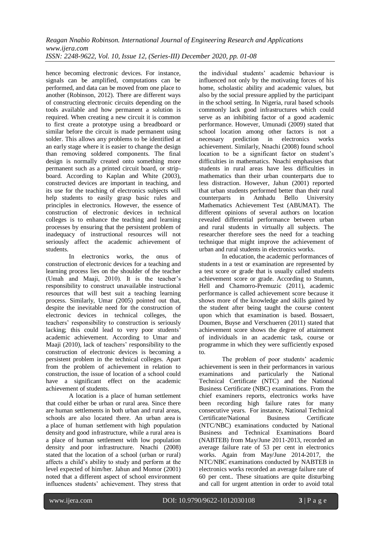hence becoming electronic devices. For instance, signals can be amplified, computations can be performed, and data can be moved from one place to another (Robinson, 2012). There are different ways of constructing electronic circuits depending on the tools available and how permanent a solution is required. When creating a new circuit it is common to first create a prototype using a breadboard or similar before the circuit is made permanent using solder. This allows any problems to be identified at an early stage where it is easier to change the design than removing soldered components. The final design is normally created onto something more permanent such as a printed circuit board, or stripboard. According to Kaplan and White (2003), constructed devices are important in teaching, and its use for the teaching of electronics subjects will help students to easily grasp basic rules and principles in electronics. However, the essence of construction of electronic devices in technical colleges is to enhance the teaching and learning processes by ensuring that the persistent problem of inadequacy of instructional resources will not seriously affect the academic achievement of students.

In electronics works, the onus of construction of electronic devices for a teaching and learning process lies on the shoulder of the teacher (Umah and Maaji, 2010). It is the teacher's responsibility to construct unavailable instructional resources that will best suit a teaching learning process. Similarly, Umar (2005) pointed out that, despite the inevitable need for the construction of electronic devices in technical colleges, the teachers' responsibility to construction is seriously lacking; this could lead to very poor students' academic achievement. According to Umar and Maaji (2010), lack of teachers' responsibility to the construction of electronic devices is becoming a persistent problem in the technical colleges. Apart from the problem of achievement in relation to construction, the issue of location of a school could have a significant effect on the academic achievement of students.

A location is a place of human settlement that could either be urban or rural area. Since there are human settlements in both urban and rural areas, schools are also located there. An urban area is a place of human settlement with high population density and good infrastructure, while a rural area is a place of human settlement with low population density and poor infrastructure. Nnachi (2008) stated that the location of a school (urban or rural) affects a child's ability to study and perform at the level expected of him/her. Jahun and Momor (2001) noted that a different aspect of school environment influences students' achievement. They stress that the individual students' academic behaviour is influenced not only by the motivating forces of his home, scholastic ability and academic values, but also by the social pressure applied by the participant in the school setting. In Nigeria, rural based schools commonly lack good infrastructures which could serve as an inhibiting factor of a good academic performance. However, Umunadi (2009) stated that school location among other factors is not a necessary prediction in electronics works achievement. Similarly, Nnachi (2008) found school location to be a significant factor on student's difficulties in mathematics. Nnachi emphasises that students in rural areas have less difficulties in mathematics than their urban counterparts due to less distraction. However, Jahun (2001) reported that urban students performed better than their rural counterparts in Amhadu Bello University Mathematics Achievement Test (ABUMAT). The different opinions of several authors on location revealed differential performance between urban and rural students in virtually all subjects. The researcher therefore sees the need for a teaching technique that might improve the achievement of urban and rural students in electronics works.

In education, the academic performances of students in a test or examination are represented by a test score or grade that is usually called students achievement score or grade. According to Stumm, Hell and Chamorro-Premuzic (2011), academic performance is called achievement score because it shows more of the knowledge and skills gained by the student after being taught the course content upon which that examination is based. Bossaert, Doumen, Buyse and Verschueren (2011) stated that achievement score shows the degree of attainment of individuals in an academic task, course or programme in which they were sufficiently exposed to.

The problem of poor students' academic achievement is seen in their performances in various examinations and particularly the National Technical Certificate (NTC) and the National Business Certificate (NBC) examinations. From the chief examiners reports, electronics works have been recording high failure rates for many consecutive years. For instance, National Technical Certificate/National Business Certificate (NTC/NBC) examinations conducted by National Business and Technical Examinations Board (NABTEB) from May/June 2011-2013, recorded an average failure rate of 53 per cent in electronics works. Again from May/June 2014-2017, the NTC/NBC examinations conducted by NABTEB in electronics works recorded an average failure rate of 60 per cent.. These situations are quite disturbing and call for urgent attention in order to avoid total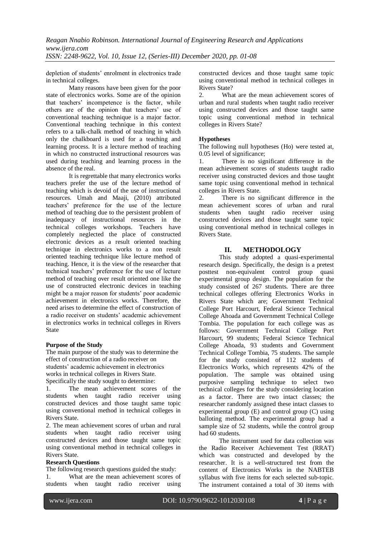*Reagan Nnabio Robinson. International Journal of Engineering Research and Applications www.ijera.com ISSN: 2248-9622, Vol. 10, Issue 12, (Series-III) December 2020, pp. 01-08*

depletion of students' enrolment in electronics trade in technical colleges.

Many reasons have been given for the poor state of electronics works. Some are of the opinion that teachers' incompetence is the factor, while others are of the opinion that teachers' use of conventional teaching technique is a major factor. Conventional teaching technique in this context refers to a talk-chalk method of teaching in which only the chalkboard is used for a teaching and learning process. It is a lecture method of teaching in which no constructed instructional resources was used during teaching and learning process in the absence of the real.

It is regrettable that many electronics works teachers prefer the use of the lecture method of teaching which is devoid of the use of instructional resources. Umah and Maaji, (2010) attributed teachers' preference for the use of the lecture method of teaching due to the persistent problem of inadequacy of instructional resources in the technical colleges workshops. Teachers have completely neglected the place of constructed electronic devices as a result oriented teaching technique in electronics works to a non result oriented teaching technique like lecture method of teaching. Hence, it is the view of the researcher that technical teachers' preference for the use of lecture method of teaching over result oriented one like the use of constructed electronic devices in teaching might be a major reason for students' poor academic achievement in electronics works. Therefore, the need arises to determine the effect of construction of a radio receiver on students' academic achievement in electronics works in technical colleges in Rivers State

### **Purpose of the Study**

The main purpose of the study was to determine the effect of construction of a radio receiver on students' academic achievement in electronics works in technical colleges in Rivers State. Specifically the study sought to determine:

1. The mean achievement scores of the students when taught radio receiver using constructed devices and those taught same topic using conventional method in technical colleges in Rivers State.

2. The mean achievement scores of urban and rural students when taught radio receiver using constructed devices and those taught same topic using conventional method in technical colleges in Rivers State.

### **Research Questions**

The following research questions guided the study: 1. What are the mean achievement scores of students when taught radio receiver using constructed devices and those taught same topic using conventional method in technical colleges in Rivers State?

2. What are the mean achievement scores of urban and rural students when taught radio receiver using constructed devices and those taught same topic using conventional method in technical colleges in Rivers State?

### **Hypotheses**

The following null hypotheses (Ho) were tested at, 0.05 level of significance;

1. There is no significant difference in the mean achievement scores of students taught radio receiver using constructed devices and those taught same topic using conventional method in technical colleges in Rivers State.

2. There is no significant difference in the mean achievement scores of urban and rural students when taught radio receiver using constructed devices and those taught same topic using conventional method in technical colleges in Rivers State.

# **II. METHODOLOGY**

This study adopted a quasi-experimental research design. Specifically, the design is a pretest posttest non-equivalent control group quasi experimental group design. The population for the study consisted of 267 students. There are three technical colleges offering Electronics Works in Rivers State which are; Government Technical College Port Harcourt, Federal Science Technical College Ahoada and Government Technical College Tombia. The population for each college was as follows: Government Technical College Port Harcourt, 99 students; Federal Science Technical College Ahoada, 93 students and Government Technical College Tombia, 75 students. The sample for the study consisted of 112 students of Electronics Works, which represents 42% of the population. The sample was obtained using purposive sampling technique to select two technical colleges for the study considering location as a factor. There are two intact classes; the researcher randomly assigned these intact classes to experimental group (E) and control group (C) using balloting method. The experimental group had a sample size of 52 students, while the control group had 60 students.

The instrument used for data collection was the Radio Receiver Achievement Test (RRAT) which was constructed and developed by the researcher. It is a well-structured test from the content of Electronics Works in the NABTEB syllabus with five items for each selected sub-topic. The instrument contained a total of 30 items with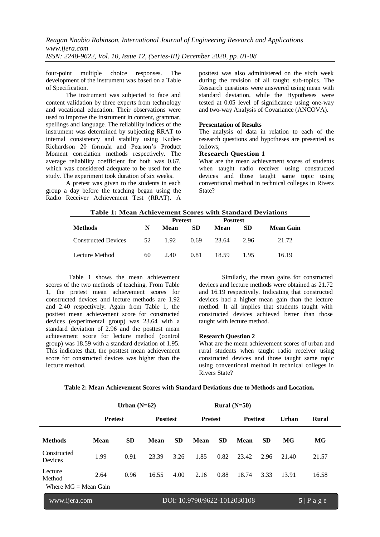four-point multiple choice responses. The development of the instrument was based on a Table of Specification.

The instrument was subjected to face and content validation by three experts from technology and vocational education. Their observations were used to improve the instrument in content, grammar, spellings and language. The reliability indices of the instrument was determined by subjecting RRAT to internal consistency and stability using Kuder-Richardson 20 formula and Pearson's Product Moment correlation methods respectively. The average reliability coefficient for both was 0.67, which was considered adequate to be used for the study. The experiment took duration of six weeks.

A pretest was given to the students in each group a day before the teaching began using the Radio Receiver Achievement Test (RRAT). A

posttest was also administered on the sixth week during the revision of all taught sub-topics. The Research questions were answered using mean with standard deviation, while the Hypotheses were tested at 0.05 level of significance using one-way and two-way Analysis of Covariance (ANCOVA).

#### **Presentation of Results**

The analysis of data in relation to each of the research questions and hypotheses are presented as follows;

#### **Research Question 1**

What are the mean achievement scores of students when taught radio receiver using constructed devices and those taught same topic using conventional method in technical colleges in Rivers State?

|                            |    | <b>Pretest</b> |           | <b>Posttest</b> |           |                  |
|----------------------------|----|----------------|-----------|-----------------|-----------|------------------|
| <b>Methods</b>             | N  | Mean           | <b>SD</b> | Mean            | <b>SD</b> | <b>Mean Gain</b> |
| <b>Constructed Devices</b> | 52 | 1.92           | 0.69      | 23.64           | 2.96      | 21.72            |
| Lecture Method             | 60 | 2.40           | 0.81      | 18.59           | 1.95      | 16.19            |

Table 1 shows the mean achievement scores of the two methods of teaching. From Table 1, the pretest mean achievement scores for constructed devices and lecture methods are 1.92 and 2.40 respectively. Again from Table 1, the posttest mean achievement score for constructed devices (experimental group) was 23.64 with a standard deviation of 2.96 and the posttest mean achievement score for lecture method (control group) was 18.59 with a standard deviation of 1.95. This indicates that, the posttest mean achievement score for constructed devices was higher than the lecture method.

Similarly, the mean gains for constructed devices and lecture methods were obtained as 21.72 and 16.19 respectively. Indicating that constructed devices had a higher mean gain than the lecture method. It all implies that students taught with constructed devices achieved better than those taught with lecture method.

#### **Research Question 2**

What are the mean achievement scores of urban and rural students when taught radio receiver using constructed devices and those taught same topic using conventional method in technical colleges in Rivers State?

|                        |                                               | Urban $(N=62)$ |                 |           | Rural $(N=50)$ |           |                 |           |       |              |
|------------------------|-----------------------------------------------|----------------|-----------------|-----------|----------------|-----------|-----------------|-----------|-------|--------------|
|                        | <b>Pretest</b>                                |                | <b>Posttest</b> |           | <b>Pretest</b> |           | <b>Posttest</b> |           | Urban | <b>Rural</b> |
| <b>Methods</b>         | <b>Mean</b>                                   | <b>SD</b>      | <b>Mean</b>     | <b>SD</b> | Mean           | <b>SD</b> | <b>Mean</b>     | <b>SD</b> | MG    | MG           |
| Constructed<br>Devices | 1.99                                          | 0.91           | 23.39           | 3.26      | 1.85           | 0.82      | 23.42           | 2.96      | 21.40 | 21.57        |
| Lecture<br>Method      | 2.64                                          | 0.96           | 16.55           | 4.00      | 2.16           | 0.88      | 18.74           | 3.33      | 13.91 | 16.58        |
| Where $MG = Mean Gain$ |                                               |                |                 |           |                |           |                 |           |       |              |
|                        | www.ijera.com<br>DOI: 10.9790/9622-1012030108 |                |                 |           |                | 5 Page    |                 |           |       |              |

**Table 2: Mean Achievement Scores with Standard Deviations due to Methods and Location.**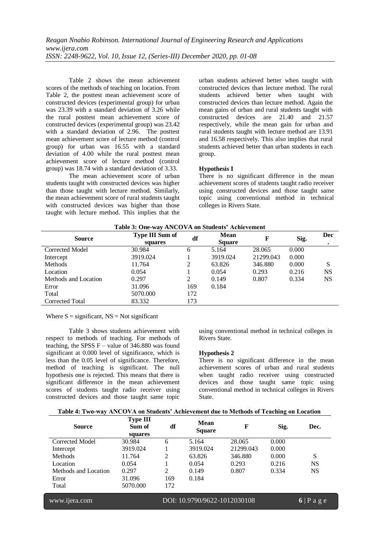Table 2 shows the mean achievement scores of the methods of teaching on location. From Table 2, the posttest mean achievement score of constructed devices (experimental group) for urban was 23.39 with a standard deviation of 3.26 while the rural posttest mean achievement score of constructed devices (experimental group) was 23.42 with a standard deviation of 2.96. The posttest mean achievement score of lecture method (control group) for urban was 16.55 with a standard deviation of 4.00 while the rural posttest mean achievement score of lecture method (control group) was 18.74 with a standard deviation of 3.33.

The mean achievement score of urban students taught with constructed devices was higher than those taught with lecture method. Similarly, the mean achievement score of rural students taught with constructed devices was higher than those taught with lecture method. This implies that the urban students achieved better when taught with constructed devices than lecture method. The rural students achieved better when taught with constructed devices than lecture method. Again the mean gains of urban and rural students taught with constructed devices are 21.40 and 21.57 respectively, while the mean gain for urban and rural students taught with lecture method are 13.91 and 16.58 respectively. This also implies that rural students achieved better than urban students in each group.

# **Hypothesis I**

There is no significant difference in the mean achievement scores of students taught radio receiver using constructed devices and those taught same topic using conventional method in technical colleges in Rivers State.

| Table 3: One-way ANCOVA on Students' Achievement |                            |     |                                    |           |       |           |  |  |
|--------------------------------------------------|----------------------------|-----|------------------------------------|-----------|-------|-----------|--|--|
| <b>Source</b>                                    | Type III Sum of<br>squares |     | <b>Mean</b><br>df<br><b>Square</b> |           | Sig.  | Dec       |  |  |
| Corrected Model                                  | 30.984                     | 6   | 5.164                              | 28.065    | 0.000 |           |  |  |
| Intercept                                        | 3919.024                   |     | 3919.024                           | 21299.043 | 0.000 |           |  |  |
| Methods                                          | 11.764                     | 2   | 63.826                             | 346.880   | 0.000 | S         |  |  |
| Location                                         | 0.054                      |     | 0.054                              | 0.293     | 0.216 | <b>NS</b> |  |  |
| Methods and Location                             | 0.297                      | 2   | 0.149                              | 0.807     | 0.334 | <b>NS</b> |  |  |
| Error                                            | 31.096                     | 169 | 0.184                              |           |       |           |  |  |
| Total                                            | 5070.000                   | 172 |                                    |           |       |           |  |  |
| Corrected Total                                  | 83.332                     | 173 |                                    |           |       |           |  |  |

Where  $S =$  significant,  $NS = Not$  significant

Table 3 shows students achievement with respect to methods of teaching. For methods of teaching, the SPSS  $F -$  value of 346.880 was found significant at 0.000 level of significance, which is less than the 0.05 level of significance. Therefore, method of teaching is significant. The null hypothesis one is rejected. This means that there is significant difference in the mean achievement scores of students taught radio receiver using constructed devices and those taught same topic

using conventional method in technical colleges in Rivers State.

# **Hypothesis 2**

There is no significant difference in the mean achievement scores of urban and rural students when taught radio receiver using constructed devices and those taught same topic using conventional method in technical colleges in Rivers State.

|  | Table 4: Two-way ANCOVA on Students' Achievement due to Methods of Teaching on Location |  |  |
|--|-----------------------------------------------------------------------------------------|--|--|
|  |                                                                                         |  |  |

| <b>Source</b>        | <b>Type III</b><br>Sum of<br>squares | df             | <b>Mean</b><br><b>Square</b> | F         | Sig.  | Dec.                 |
|----------------------|--------------------------------------|----------------|------------------------------|-----------|-------|----------------------|
| Corrected Model      | 30.984                               | 6              | 5.164                        | 28.065    | 0.000 |                      |
| Intercept            | 3919.024                             |                | 3919.024                     | 21299.043 | 0.000 |                      |
| Methods              | 11.764                               | 2              | 63.826                       | 346.880   | 0.000 | S                    |
| Location             | 0.054                                |                | 0.054                        | 0.293     | 0.216 | <b>NS</b>            |
| Methods and Location | 0.297                                | $\mathfrak{D}$ | 0.149                        | 0.807     | 0.334 | <b>NS</b>            |
| Error                | 31.096                               | 169            | 0.184                        |           |       |                      |
| Total                | 5070.000                             | 172            |                              |           |       |                      |
| www.ijera.com        |                                      |                | DOI: 10.9790/9622-1012030108 |           |       | $6 \mid P a \circ e$ |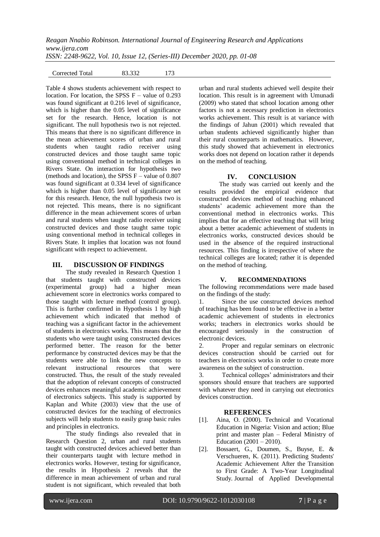Corrected Total 83.332 173

Table 4 shows students achievement with respect to location. For location, the SPSS  $F -$  value of 0.293 was found significant at 0.216 level of significance, which is higher than the 0.05 level of significance set for the research. Hence, location is not significant. The null hypothesis two is not rejected. This means that there is no significant difference in the mean achievement scores of urban and rural students when taught radio receiver using constructed devices and those taught same topic using conventional method in technical colleges in Rivers State. On interaction for hypothesis two (methods and location), the SPSS  $F$  – value of 0.807 was found significant at 0.334 level of significance which is higher than 0.05 level of significance set for this research. Hence, the null hypothesis two is not rejected. This means, there is no significant difference in the mean achievement scores of urban and rural students when taught radio receiver using constructed devices and those taught same topic using conventional method in technical colleges in Rivers State. It implies that location was not found significant with respect to achievement.

### **III. DISCUSSION OF FINDINGS**

The study revealed in Research Question 1 that students taught with constructed devices (experimental group) had a higher mean achievement score in electronics works compared to those taught with lecture method (control group). This is further confirmed in Hypothesis 1 by high achievement which indicated that method of teaching was a significant factor in the achievement of students in electronics works. This means that the students who were taught using constructed devices performed better. The reason for the better performance by constructed devices may be that the students were able to link the new concepts to relevant instructional resources that were constructed. Thus, the result of the study revealed that the adoption of relevant concepts of constructed devices enhances meaningful academic achievement of electronics subjects. This study is supported by Kaplan and White (2003) view that the use of constructed devices for the teaching of electronics subjects will help students to easily grasp basic rules and principles in electronics.

The study findings also revealed that in Research Question 2, urban and rural students taught with constructed devices achieved better than their counterparts taught with lecture method in electronics works. However, testing for significance, the results in Hypothesis 2 reveals that the difference in mean achievement of urban and rural student is not significant, which revealed that both urban and rural students achieved well despite their location. This result is in agreement with Umunadi (2009) who stated that school location among other factors is not a necessary prediction in electronics works achievement. This result is at variance with the findings of Jahun (2001) which revealed that urban students achieved significantly higher than their rural counterparts in mathematics. However, this study showed that achievement in electronics works does not depend on location rather it depends on the method of teaching.

# **IV. CONCLUSION**

The study was carried out keenly and the results provided the empirical evidence that constructed devices method of teaching enhanced students' academic achievement more than the conventional method in electronics works. This implies that for an effective teaching that will bring about a better academic achievement of students in electronics works, constructed devices should be used in the absence of the required instructional resources. This finding is irrespective of where the technical colleges are located; rather it is depended on the method of teaching.

### **V. RECOMMENDATIONS**

The following recommendations were made based on the findings of the study:

1. Since the use constructed devices method of teaching has been found to be effective in a better academic achievement of students in electronics works; teachers in electronics works should be encouraged seriously in the construction of electronic devices.

2. Proper and regular seminars on electronic devices construction should be carried out for teachers in electronics works in order to create more awareness on the subject of construction.

3. Technical colleges' administrators and their sponsors should ensure that teachers are supported with whatever they need in carrying out electronics devices construction.

### **REFERENCES**

- [1]. Aina, O. (2000). Technical and Vocational Education in Nigeria: Vision and action; Blue print and master plan – Federal Ministry of Education (2001 – 2010).
- [2]. Bossaert, G., Doumen, S., Buyse, E. & Verschueren, K. (2011). Predicting Students' Academic Achievement After the Transition to First Grade: A Two-Year Longitudinal Study. Journal of Applied Developmental